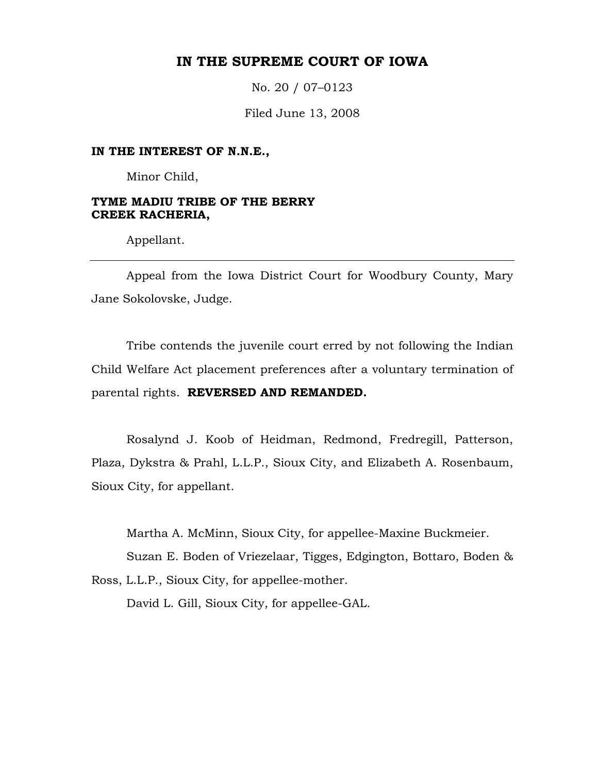# **IN THE SUPREME COURT OF IOWA**

No. 20 / 07–0123

Filed June 13, 2008

#### **IN THE INTEREST OF N.N.E.,**

Minor Child,

### **TYME MADIU TRIBE OF THE BERRY CREEK RACHERIA,**

Appellant.

 Appeal from the Iowa District Court for Woodbury County, Mary Jane Sokolovske, Judge.

 Tribe contends the juvenile court erred by not following the Indian Child Welfare Act placement preferences after a voluntary termination of parental rights. **REVERSED AND REMANDED.** 

 Rosalynd J. Koob of Heidman, Redmond, Fredregill, Patterson, Plaza, Dykstra & Prahl, L.L.P., Sioux City, and Elizabeth A. Rosenbaum, Sioux City, for appellant.

Martha A. McMinn, Sioux City, for appellee-Maxine Buckmeier.

Suzan E. Boden of Vriezelaar, Tigges, Edgington, Bottaro, Boden &

Ross, L.L.P., Sioux City, for appellee-mother.

David L. Gill, Sioux City, for appellee-GAL.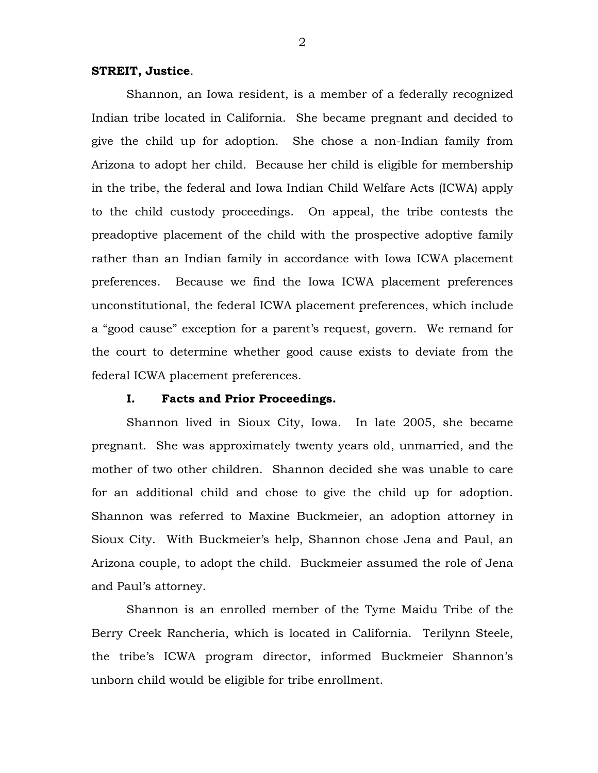## **STREIT, Justice**.

 Shannon, an Iowa resident, is a member of a federally recognized Indian tribe located in California. She became pregnant and decided to give the child up for adoption. She chose a non-Indian family from Arizona to adopt her child. Because her child is eligible for membership in the tribe, the federal and Iowa Indian Child Welfare Acts (ICWA) apply to the child custody proceedings. On appeal, the tribe contests the preadoptive placement of the child with the prospective adoptive family rather than an Indian family in accordance with Iowa ICWA placement preferences. Because we find the Iowa ICWA placement preferences unconstitutional, the federal ICWA placement preferences, which include a "good cause" exception for a parent's request, govern. We remand for the court to determine whether good cause exists to deviate from the federal ICWA placement preferences.

#### **I. Facts and Prior Proceedings.**

 Shannon lived in Sioux City, Iowa. In late 2005, she became pregnant. She was approximately twenty years old, unmarried, and the mother of two other children. Shannon decided she was unable to care for an additional child and chose to give the child up for adoption. Shannon was referred to Maxine Buckmeier, an adoption attorney in Sioux City. With Buckmeier's help, Shannon chose Jena and Paul, an Arizona couple, to adopt the child. Buckmeier assumed the role of Jena and Paul's attorney.

 Shannon is an enrolled member of the Tyme Maidu Tribe of the Berry Creek Rancheria, which is located in California. Terilynn Steele, the tribe's ICWA program director, informed Buckmeier Shannon's unborn child would be eligible for tribe enrollment.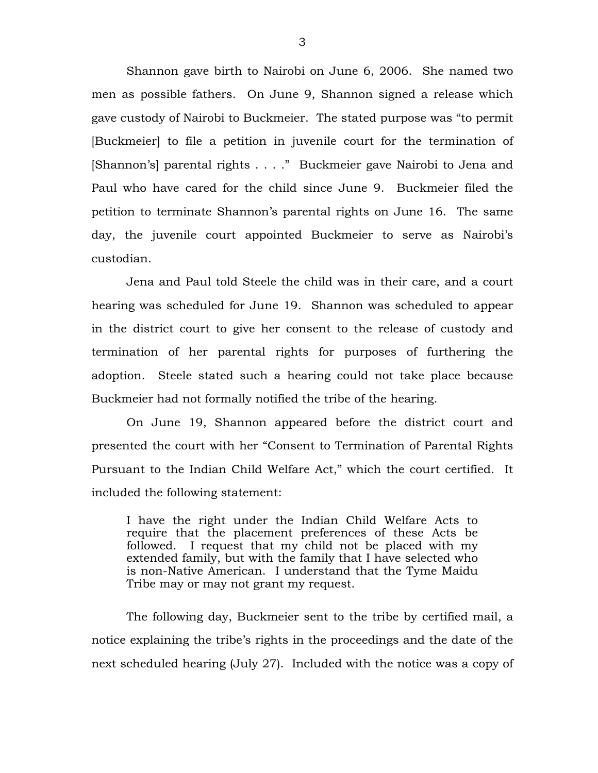Shannon gave birth to Nairobi on June 6, 2006. She named two men as possible fathers. On June 9, Shannon signed a release which gave custody of Nairobi to Buckmeier. The stated purpose was "to permit [Buckmeier] to file a petition in juvenile court for the termination of [Shannon's] parental rights . . . ." Buckmeier gave Nairobi to Jena and Paul who have cared for the child since June 9. Buckmeier filed the petition to terminate Shannon's parental rights on June 16. The same day, the juvenile court appointed Buckmeier to serve as Nairobi's custodian.

Jena and Paul told Steele the child was in their care, and a court hearing was scheduled for June 19. Shannon was scheduled to appear in the district court to give her consent to the release of custody and termination of her parental rights for purposes of furthering the adoption. Steele stated such a hearing could not take place because Buckmeier had not formally notified the tribe of the hearing.

 On June 19, Shannon appeared before the district court and presented the court with her "Consent to Termination of Parental Rights Pursuant to the Indian Child Welfare Act," which the court certified. It included the following statement:

I have the right under the Indian Child Welfare Acts to require that the placement preferences of these Acts be followed. I request that my child not be placed with my extended family, but with the family that I have selected who is non-Native American. I understand that the Tyme Maidu Tribe may or may not grant my request.

 The following day, Buckmeier sent to the tribe by certified mail, a notice explaining the tribe's rights in the proceedings and the date of the next scheduled hearing (July 27). Included with the notice was a copy of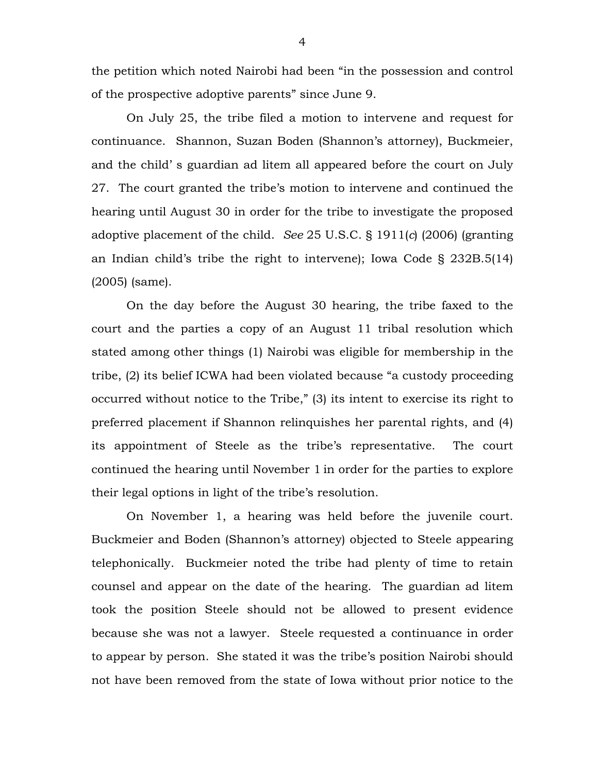the petition which noted Nairobi had been "in the possession and control of the prospective adoptive parents" since June 9.

 On July 25, the tribe filed a motion to intervene and request for continuance. Shannon, Suzan Boden (Shannon's attorney), Buckmeier, and the child' s guardian ad litem all appeared before the court on July 27. The court granted the tribe's motion to intervene and continued the hearing until August 30 in order for the tribe to investigate the proposed adoptive placement of the child. *See* 25 U.S.C. § 1911(*c*) (2006) (granting an Indian child's tribe the right to intervene); Iowa Code § 232B.5(14) (2005) (same).

On the day before the August 30 hearing, the tribe faxed to the court and the parties a copy of an August 11 tribal resolution which stated among other things (1) Nairobi was eligible for membership in the tribe, (2) its belief ICWA had been violated because "a custody proceeding occurred without notice to the Tribe," (3) its intent to exercise its right to preferred placement if Shannon relinquishes her parental rights, and (4) its appointment of Steele as the tribe's representative. The court continued the hearing until November 1 in order for the parties to explore their legal options in light of the tribe's resolution.

 On November 1, a hearing was held before the juvenile court. Buckmeier and Boden (Shannon's attorney) objected to Steele appearing telephonically. Buckmeier noted the tribe had plenty of time to retain counsel and appear on the date of the hearing. The guardian ad litem took the position Steele should not be allowed to present evidence because she was not a lawyer. Steele requested a continuance in order to appear by person. She stated it was the tribe's position Nairobi should not have been removed from the state of Iowa without prior notice to the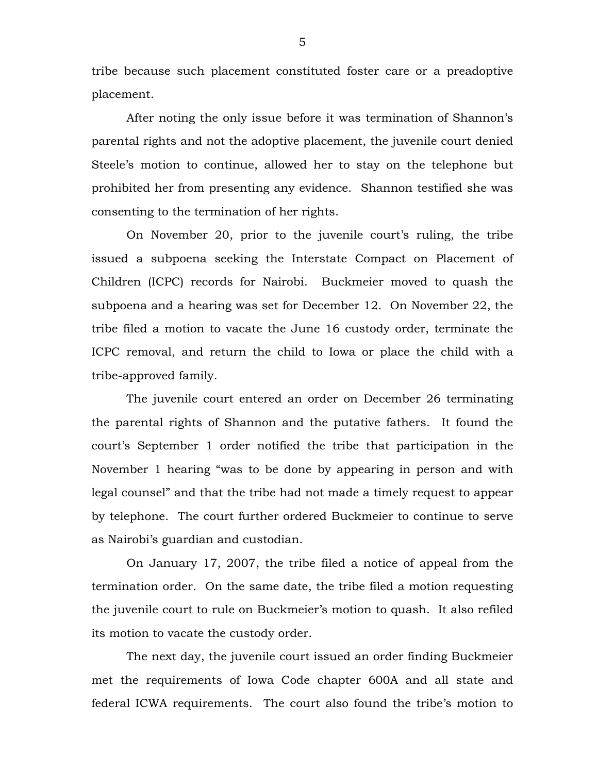tribe because such placement constituted foster care or a preadoptive placement.

 After noting the only issue before it was termination of Shannon's parental rights and not the adoptive placement, the juvenile court denied Steele's motion to continue, allowed her to stay on the telephone but prohibited her from presenting any evidence. Shannon testified she was consenting to the termination of her rights.

On November 20, prior to the juvenile court's ruling, the tribe issued a subpoena seeking the Interstate Compact on Placement of Children (ICPC) records for Nairobi. Buckmeier moved to quash the subpoena and a hearing was set for December 12. On November 22, the tribe filed a motion to vacate the June 16 custody order, terminate the ICPC removal, and return the child to Iowa or place the child with a tribe-approved family.

 The juvenile court entered an order on December 26 terminating the parental rights of Shannon and the putative fathers. It found the court's September 1 order notified the tribe that participation in the November 1 hearing "was to be done by appearing in person and with legal counsel" and that the tribe had not made a timely request to appear by telephone. The court further ordered Buckmeier to continue to serve as Nairobi's guardian and custodian.

 On January 17, 2007, the tribe filed a notice of appeal from the termination order. On the same date, the tribe filed a motion requesting the juvenile court to rule on Buckmeier's motion to quash. It also refiled its motion to vacate the custody order.

 The next day, the juvenile court issued an order finding Buckmeier met the requirements of Iowa Code chapter 600A and all state and federal ICWA requirements. The court also found the tribe's motion to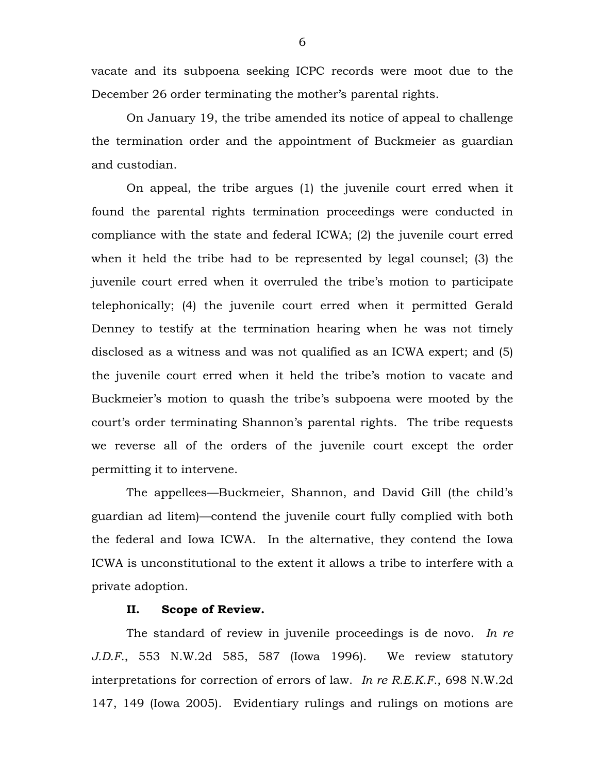vacate and its subpoena seeking ICPC records were moot due to the December 26 order terminating the mother's parental rights.

 On January 19, the tribe amended its notice of appeal to challenge the termination order and the appointment of Buckmeier as guardian and custodian.

 On appeal, the tribe argues (1) the juvenile court erred when it found the parental rights termination proceedings were conducted in compliance with the state and federal ICWA; (2) the juvenile court erred when it held the tribe had to be represented by legal counsel; (3) the juvenile court erred when it overruled the tribe's motion to participate telephonically; (4) the juvenile court erred when it permitted Gerald Denney to testify at the termination hearing when he was not timely disclosed as a witness and was not qualified as an ICWA expert; and (5) the juvenile court erred when it held the tribe's motion to vacate and Buckmeier's motion to quash the tribe's subpoena were mooted by the court's order terminating Shannon's parental rights. The tribe requests we reverse all of the orders of the juvenile court except the order permitting it to intervene.

 The appellees—Buckmeier, Shannon, and David Gill (the child's guardian ad litem)—contend the juvenile court fully complied with both the federal and Iowa ICWA. In the alternative, they contend the Iowa ICWA is unconstitutional to the extent it allows a tribe to interfere with a private adoption.

## **II. Scope of Review.**

The standard of review in juvenile proceedings is de novo. *In re J.D.F.*, 553 N.W.2d 585, 587 (Iowa 1996). We review statutory interpretations for correction of errors of law. *In re R.E.K.F.*, 698 N.W.2d 147, 149 (Iowa 2005). Evidentiary rulings and rulings on motions are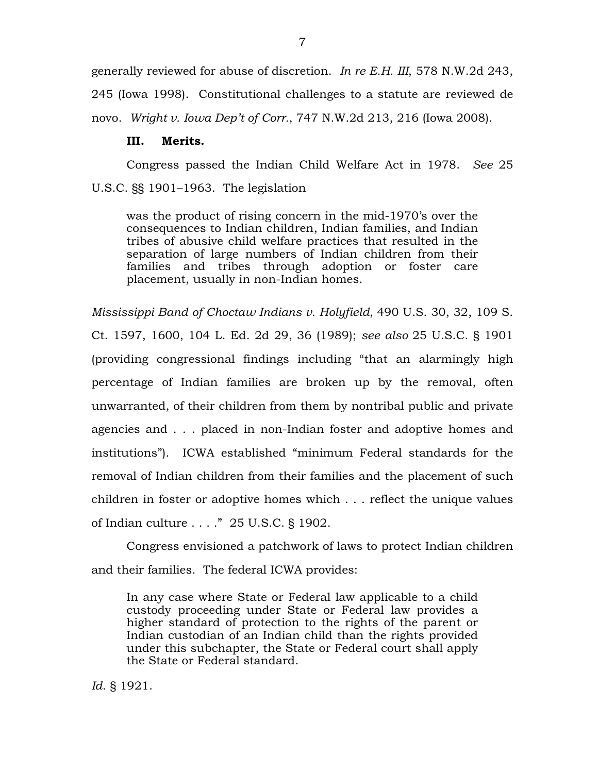generally reviewed for abuse of discretion. *In re E.H. III*, 578 N.W.2d 243, 245 (Iowa 1998). Constitutional challenges to a statute are reviewed de novo. *Wright v. Iowa Dep't of Corr.*, 747 N.W.2d 213, 216 (Iowa 2008).

### **III. Merits.**

Congress passed the Indian Child Welfare Act in 1978. *See* 25 U.S.C. §§ 1901–1963. The legislation

was the product of rising concern in the mid-1970's over the consequences to Indian children, Indian families, and Indian tribes of abusive child welfare practices that resulted in the separation of large numbers of Indian children from their families and tribes through adoption or foster care placement, usually in non-Indian homes.

*Mississippi Band of Choctaw Indians v. Holyfield*, 490 U.S. 30, 32, 109 S. Ct. 1597, 1600, 104 L. Ed. 2d 29, 36 (1989); *see also* 25 U.S.C. § 1901 (providing congressional findings including "that an alarmingly high percentage of Indian families are broken up by the removal, often unwarranted, of their children from them by nontribal public and private agencies and . . . placed in non-Indian foster and adoptive homes and institutions"). ICWA established "minimum Federal standards for the removal of Indian children from their families and the placement of such children in foster or adoptive homes which . . . reflect the unique values of Indian culture . . . ." 25 U.S.C. § 1902.

Congress envisioned a patchwork of laws to protect Indian children and their families. The federal ICWA provides:

In any case where State or Federal law applicable to a child custody proceeding under State or Federal law provides a higher standard of protection to the rights of the parent or Indian custodian of an Indian child than the rights provided under this subchapter, the State or Federal court shall apply the State or Federal standard.

*Id*. § 1921.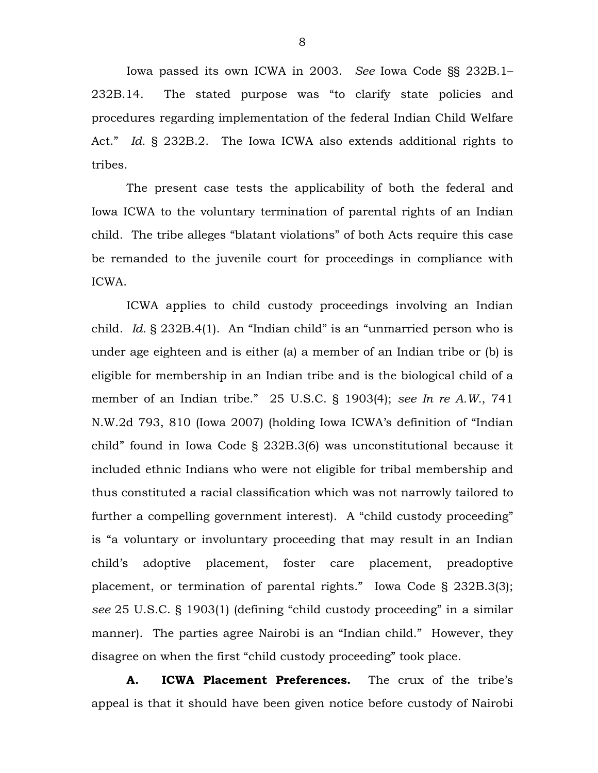Iowa passed its own ICWA in 2003. *See* Iowa Code §§ 232B.1– 232B.14. The stated purpose was "to clarify state policies and procedures regarding implementation of the federal Indian Child Welfare Act." *Id.* § 232B.2. The Iowa ICWA also extends additional rights to tribes.

 The present case tests the applicability of both the federal and Iowa ICWA to the voluntary termination of parental rights of an Indian child. The tribe alleges "blatant violations" of both Acts require this case be remanded to the juvenile court for proceedings in compliance with ICWA.

 ICWA applies to child custody proceedings involving an Indian child. *Id.* § 232B.4(1). An "Indian child" is an "unmarried person who is under age eighteen and is either (a) a member of an Indian tribe or (b) is eligible for membership in an Indian tribe and is the biological child of a member of an Indian tribe." 25 U.S.C. § 1903(4); *see In re A.W.*, 741 N.W.2d 793, 810 (Iowa 2007) (holding Iowa ICWA's definition of "Indian child" found in Iowa Code § 232B.3(6) was unconstitutional because it included ethnic Indians who were not eligible for tribal membership and thus constituted a racial classification which was not narrowly tailored to further a compelling government interest). A "child custody proceeding" is "a voluntary or involuntary proceeding that may result in an Indian child's adoptive placement, foster care placement, preadoptive placement, or termination of parental rights." Iowa Code § 232B.3(3); *see* 25 U.S.C. § 1903(1) (defining "child custody proceeding" in a similar manner). The parties agree Nairobi is an "Indian child." However, they disagree on when the first "child custody proceeding" took place.

**A. ICWA Placement Preferences.** The crux of the tribe's appeal is that it should have been given notice before custody of Nairobi

8 and 20 and 20 and 20 and 20 and 20 and 20 and 20 and 20 and 20 and 20 and 20 and 20 and 20 and 20 and 20 and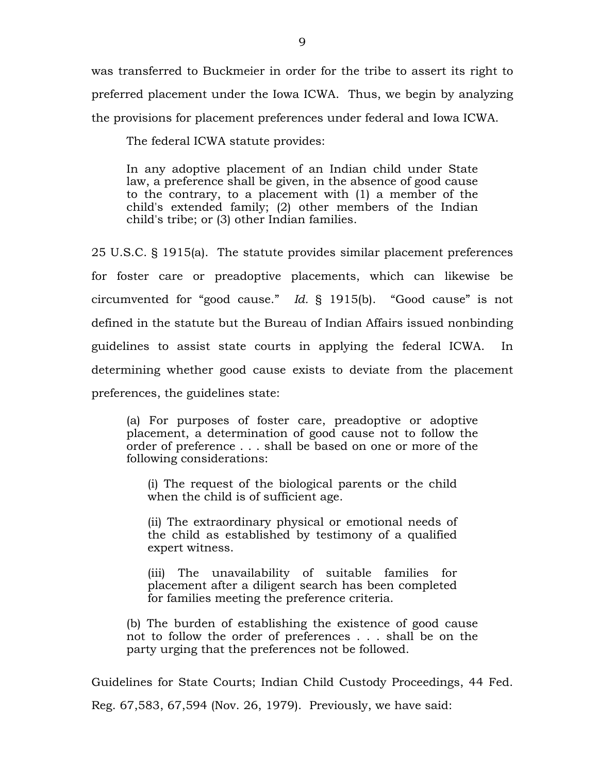was transferred to Buckmeier in order for the tribe to assert its right to preferred placement under the Iowa ICWA. Thus, we begin by analyzing the provisions for placement preferences under federal and Iowa ICWA.

The federal ICWA statute provides:

In any adoptive placement of an Indian child under State law, a preference shall be given, in the absence of good cause to the contrary, to a placement with (1) a member of the child's extended family; (2) other members of the Indian child's tribe; or (3) other Indian families.

25 U.S.C. § 1915(a). The statute provides similar placement preferences for foster care or preadoptive placements, which can likewise be circumvented for "good cause." *Id.* § 1915(b). "Good cause" is not defined in the statute but the Bureau of Indian Affairs issued nonbinding guidelines to assist state courts in applying the federal ICWA. In determining whether good cause exists to deviate from the placement preferences, the guidelines state:

(a) For purposes of foster care, preadoptive or adoptive placement, a determination of good cause not to follow the order of preference . . . shall be based on one or more of the following considerations:

(i) The request of the biological parents or the child when the child is of sufficient age.

(ii) The extraordinary physical or emotional needs of the child as established by testimony of a qualified expert witness.

(iii) The unavailability of suitable families for placement after a diligent search has been completed for families meeting the preference criteria.

(b) The burden of establishing the existence of good cause not to follow the order of preferences . . . shall be on the party urging that the preferences not be followed.

Guidelines for State Courts; Indian Child Custody Proceedings, 44 Fed.

Reg. 67,583, 67,594 (Nov. 26, 1979). Previously, we have said: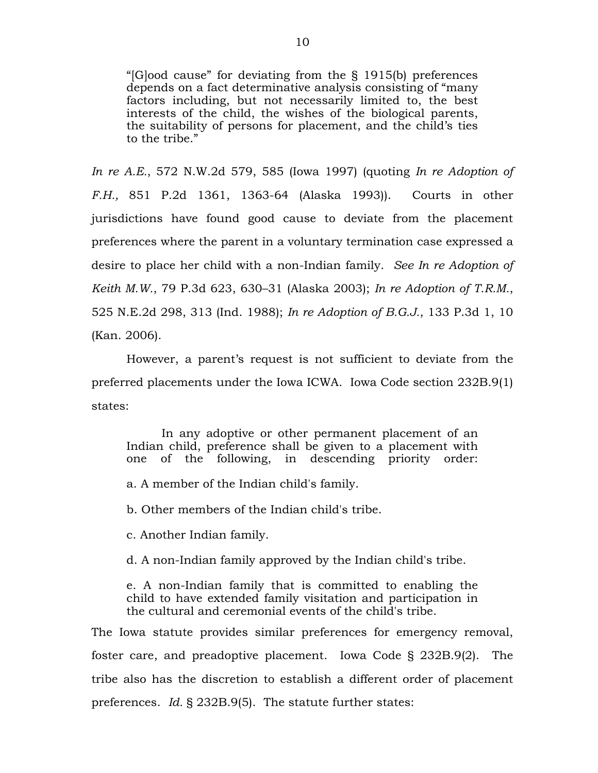"[G]ood cause" for deviating from the § 1915(b) preferences depends on a fact determinative analysis consisting of "many factors including, but not necessarily limited to, the best interests of the child, the wishes of the biological parents, the suitability of persons for placement, and the child's ties to the tribe."

*In re A.E.*, 572 N.W.2d 579, 585 (Iowa 1997) (quoting *In re Adoption of F.H.,* 851 P.2d 1361, 1363-64 (Alaska 1993)). Courts in other jurisdictions have found good cause to deviate from the placement preferences where the parent in a voluntary termination case expressed a desire to place her child with a non-Indian family. *See In re Adoption of Keith M.W.*, 79 P.3d 623, 630–31 (Alaska 2003); *In re Adoption of T.R.M.*, 525 N.E.2d 298, 313 (Ind. 1988); *In re Adoption of B.G.J.*, 133 P.3d 1, 10 (Kan. 2006).

However, a parent's request is not sufficient to deviate from the preferred placements under the Iowa ICWA. Iowa Code section 232B.9(1) states:

In any adoptive or other permanent placement of an Indian child, preference shall be given to a placement with one of the following, in descending priority order:

a. A member of the Indian child's family.

b. Other members of the Indian child's tribe.

c. Another Indian family.

d. A non-Indian family approved by the Indian child's tribe.

e. A non-Indian family that is committed to enabling the child to have extended family visitation and participation in the cultural and ceremonial events of the child's tribe.

The Iowa statute provides similar preferences for emergency removal, foster care, and preadoptive placement. Iowa Code § 232B.9(2). The tribe also has the discretion to establish a different order of placement preferences. *Id.* § 232B.9(5). The statute further states: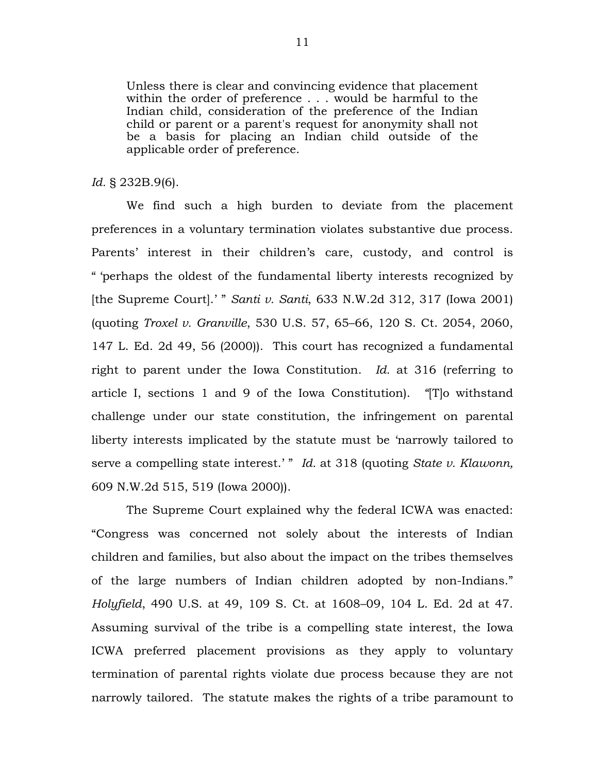Unless there is clear and convincing evidence that placement within the order of preference . . . would be harmful to the Indian child, consideration of the preference of the Indian child or parent or a parent's request for anonymity shall not be a basis for placing an Indian child outside of the applicable order of preference.

#### *Id.* § 232B.9(6).

We find such a high burden to deviate from the placement preferences in a voluntary termination violates substantive due process. Parents' interest in their children's care, custody, and control is " 'perhaps the oldest of the fundamental liberty interests recognized by [the Supreme Court].' " *Santi v. Santi*, 633 N.W.2d 312, 317 (Iowa 2001) (quoting *Troxel v. Granville*, 530 U.S. 57, 65–66, 120 S. Ct. 2054, 2060, 147 L. Ed. 2d 49, 56 (2000)).This court has recognized a fundamental right to parent under the Iowa Constitution. *Id.* at 316 (referring to article I, sections 1 and 9 of the Iowa Constitution). *"*[T]o withstand challenge under our state constitution, the infringement on parental liberty interests implicated by the statute must be 'narrowly tailored to serve a compelling state interest.' " *Id.* at 318 (quoting *State v. Klawonn,* 609 N.W.2d 515, 519 (Iowa 2000)).

The Supreme Court explained why the federal ICWA was enacted: "Congress was concerned not solely about the interests of Indian children and families, but also about the impact on the tribes themselves of the large numbers of Indian children adopted by non-Indians." *Holyfield*, 490 U.S. at 49, 109 S. Ct. at 1608–09, 104 L. Ed. 2d at 47. Assuming survival of the tribe is a compelling state interest, the Iowa ICWA preferred placement provisions as they apply to voluntary termination of parental rights violate due process because they are not narrowly tailored. The statute makes the rights of a tribe paramount to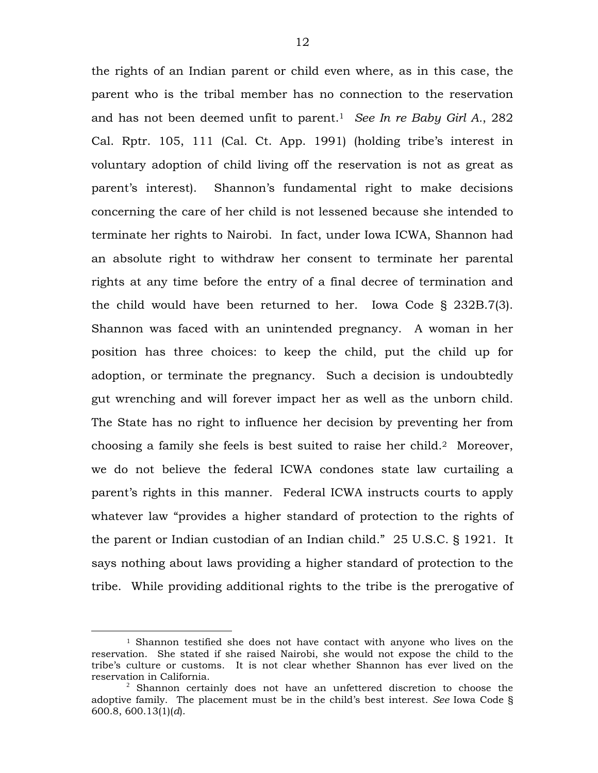the rights of an Indian parent or child even where, as in this case, the parent who is the tribal member has no connection to the reservation and has not been deemed unfit to parent.1 *See In re Baby Girl A.*, 282 Cal. Rptr. 105, 111 (Cal. Ct. App. 1991) (holding tribe's interest in voluntary adoption of child living off the reservation is not as great as parent's interest). Shannon's fundamental right to make decisions concerning the care of her child is not lessened because she intended to terminate her rights to Nairobi. In fact, under Iowa ICWA, Shannon had an absolute right to withdraw her consent to terminate her parental rights at any time before the entry of a final decree of termination and the child would have been returned to her. Iowa Code § 232B.7(3). Shannon was faced with an unintended pregnancy. A woman in her position has three choices: to keep the child, put the child up for adoption, or terminate the pregnancy. Such a decision is undoubtedly gut wrenching and will forever impact her as well as the unborn child. The State has no right to influence her decision by preventing her from choosing a family she feels is best suited to raise her child.2 Moreover, we do not believe the federal ICWA condones state law curtailing a parent's rights in this manner. Federal ICWA instructs courts to apply whatever law "provides a higher standard of protection to the rights of the parent or Indian custodian of an Indian child." 25 U.S.C. § 1921. It says nothing about laws providing a higher standard of protection to the tribe. While providing additional rights to the tribe is the prerogative of

 $\overline{a}$ 

<sup>1</sup> Shannon testified she does not have contact with anyone who lives on the reservation. She stated if she raised Nairobi, she would not expose the child to the tribe's culture or customs. It is not clear whether Shannon has ever lived on the reservation in California.

 $2$  Shannon certainly does not have an unfettered discretion to choose the adoptive family. The placement must be in the child's best interest. *See* Iowa Code § 600.8, 600.13(1)(*d*).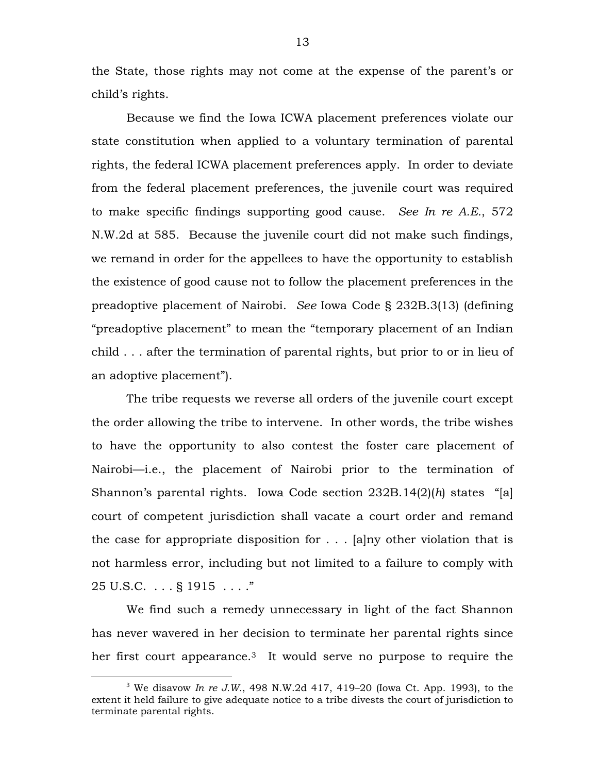the State, those rights may not come at the expense of the parent's or child's rights.

Because we find the Iowa ICWA placement preferences violate our state constitution when applied to a voluntary termination of parental rights, the federal ICWA placement preferences apply. In order to deviate from the federal placement preferences, the juvenile court was required to make specific findings supporting good cause. *See In re A.E.*, 572 N.W.2d at 585. Because the juvenile court did not make such findings, we remand in order for the appellees to have the opportunity to establish the existence of good cause not to follow the placement preferences in the preadoptive placement of Nairobi. *See* Iowa Code § 232B.3(13) (defining "preadoptive placement" to mean the "temporary placement of an Indian child . . . after the termination of parental rights, but prior to or in lieu of an adoptive placement").

The tribe requests we reverse all orders of the juvenile court except the order allowing the tribe to intervene. In other words, the tribe wishes to have the opportunity to also contest the foster care placement of Nairobi—i.e., the placement of Nairobi prior to the termination of Shannon's parental rights. Iowa Code section 232B.14(2)(*h*) states "[a] court of competent jurisdiction shall vacate a court order and remand the case for appropriate disposition for  $\ldots$  [a]ny other violation that is not harmless error, including but not limited to a failure to comply with 25 U.S.C. . . . § 1915 . . . ."

We find such a remedy unnecessary in light of the fact Shannon has never wavered in her decision to terminate her parental rights since her first court appearance.<sup>3</sup> It would serve no purpose to require the

 <sup>3</sup> <sup>3</sup> We disavow *In re J.W.*, 498 N.W.2d 417, 419–20 (Iowa Ct. App. 1993), to the extent it held failure to give adequate notice to a tribe divests the court of jurisdiction to terminate parental rights.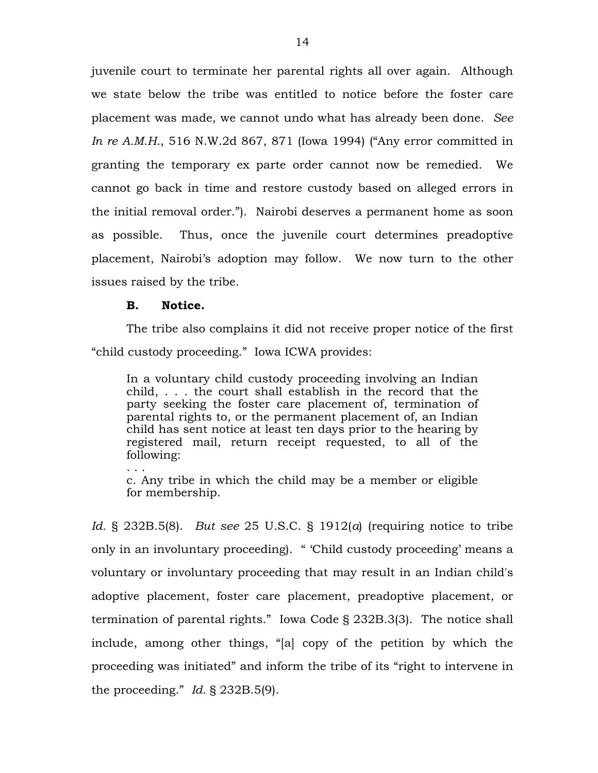juvenile court to terminate her parental rights all over again. Although we state below the tribe was entitled to notice before the foster care placement was made, we cannot undo what has already been done. *See In re A.M.H.*, 516 N.W.2d 867, 871 (Iowa 1994) ("Any error committed in granting the temporary ex parte order cannot now be remedied. We cannot go back in time and restore custody based on alleged errors in the initial removal order."). Nairobi deserves a permanent home as soon as possible. Thus, once the juvenile court determines preadoptive placement, Nairobi's adoption may follow. We now turn to the other issues raised by the tribe.

#### **B. Notice.**

The tribe also complains it did not receive proper notice of the first "child custody proceeding." Iowa ICWA provides:

In a voluntary child custody proceeding involving an Indian child, . . . the court shall establish in the record that the party seeking the foster care placement of, termination of parental rights to, or the permanent placement of, an Indian child has sent notice at least ten days prior to the hearing by registered mail, return receipt requested, to all of the following:

. . . c. Any tribe in which the child may be a member or eligible for membership.

*Id.* § 232B.5(8). *But see* 25 U.S.C. § 1912(*a*) (requiring notice to tribe only in an involuntary proceeding). " 'Child custody proceeding' means a voluntary or involuntary proceeding that may result in an Indian child's adoptive placement, foster care placement, preadoptive placement, or termination of parental rights." Iowa Code § 232B.3(3). The notice shall include, among other things, "[a] copy of the petition by which the proceeding was initiated" and inform the tribe of its "right to intervene in the proceeding." *Id.* § 232B.5(9).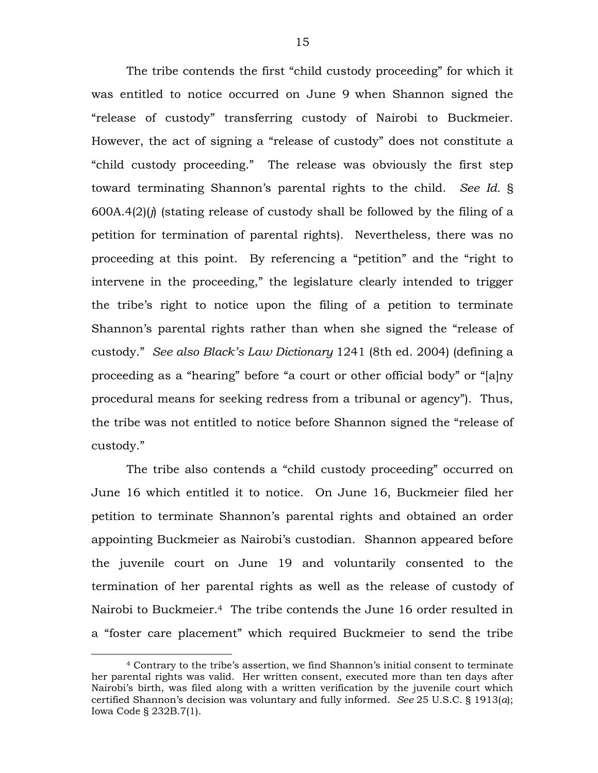The tribe contends the first "child custody proceeding" for which it was entitled to notice occurred on June 9 when Shannon signed the "release of custody" transferring custody of Nairobi to Buckmeier. However, the act of signing a "release of custody" does not constitute a "child custody proceeding." The release was obviously the first step toward terminating Shannon's parental rights to the child. *See Id.* § 600A.4(2)(*j*) (stating release of custody shall be followed by the filing of a petition for termination of parental rights). Nevertheless, there was no proceeding at this point. By referencing a "petition" and the "right to intervene in the proceeding," the legislature clearly intended to trigger the tribe's right to notice upon the filing of a petition to terminate Shannon's parental rights rather than when she signed the "release of custody." *See also Black's Law Dictionary* 1241 (8th ed. 2004) (defining a proceeding as a "hearing" before "a court or other official body" or "[a]ny procedural means for seeking redress from a tribunal or agency"). Thus, the tribe was not entitled to notice before Shannon signed the "release of custody."

The tribe also contends a "child custody proceeding" occurred on June 16 which entitled it to notice. On June 16, Buckmeier filed her petition to terminate Shannon's parental rights and obtained an order appointing Buckmeier as Nairobi's custodian. Shannon appeared before the juvenile court on June 19 and voluntarily consented to the termination of her parental rights as well as the release of custody of Nairobi to Buckmeier.4 The tribe contends the June 16 order resulted in a "foster care placement" which required Buckmeier to send the tribe

 $\overline{a}$ 

<sup>4</sup> Contrary to the tribe's assertion, we find Shannon's initial consent to terminate her parental rights was valid. Her written consent, executed more than ten days after Nairobi's birth, was filed along with a written verification by the juvenile court which certified Shannon's decision was voluntary and fully informed. *See* 25 U.S.C. § 1913(*a*); Iowa Code § 232B.7(1).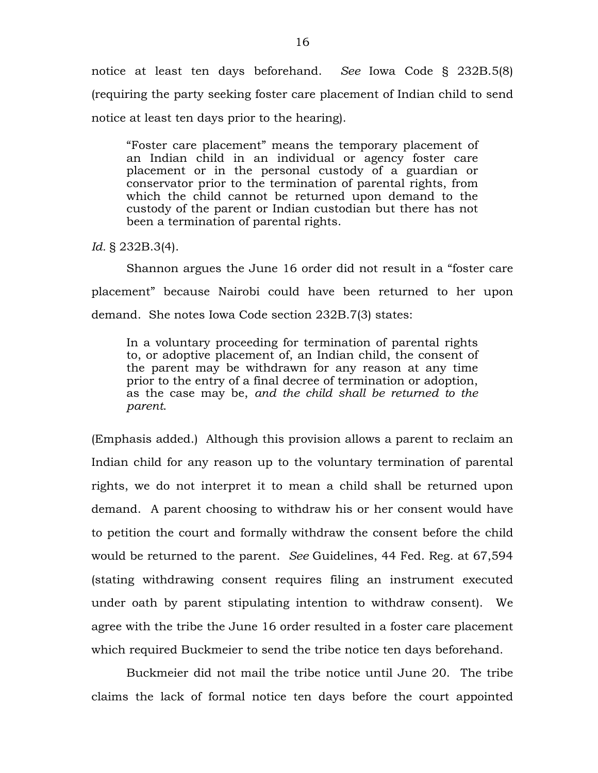notice at least ten days beforehand. *See* Iowa Code § 232B.5(8) (requiring the party seeking foster care placement of Indian child to send notice at least ten days prior to the hearing).

"Foster care placement" means the temporary placement of an Indian child in an individual or agency foster care placement or in the personal custody of a guardian or conservator prior to the termination of parental rights, from which the child cannot be returned upon demand to the custody of the parent or Indian custodian but there has not been a termination of parental rights.

*Id.* § 232B.3(4).

 Shannon argues the June 16 order did not result in a "foster care placement" because Nairobi could have been returned to her upon demand. She notes Iowa Code section 232B.7(3) states:

In a voluntary proceeding for termination of parental rights to, or adoptive placement of, an Indian child, the consent of the parent may be withdrawn for any reason at any time prior to the entry of a final decree of termination or adoption, as the case may be, *and the child shall be returned to the parent*.

(Emphasis added.) Although this provision allows a parent to reclaim an Indian child for any reason up to the voluntary termination of parental rights, we do not interpret it to mean a child shall be returned upon demand. A parent choosing to withdraw his or her consent would have to petition the court and formally withdraw the consent before the child would be returned to the parent. *See* Guidelines, 44 Fed. Reg. at 67,594 (stating withdrawing consent requires filing an instrument executed under oath by parent stipulating intention to withdraw consent). We agree with the tribe the June 16 order resulted in a foster care placement which required Buckmeier to send the tribe notice ten days beforehand.

 Buckmeier did not mail the tribe notice until June 20. The tribe claims the lack of formal notice ten days before the court appointed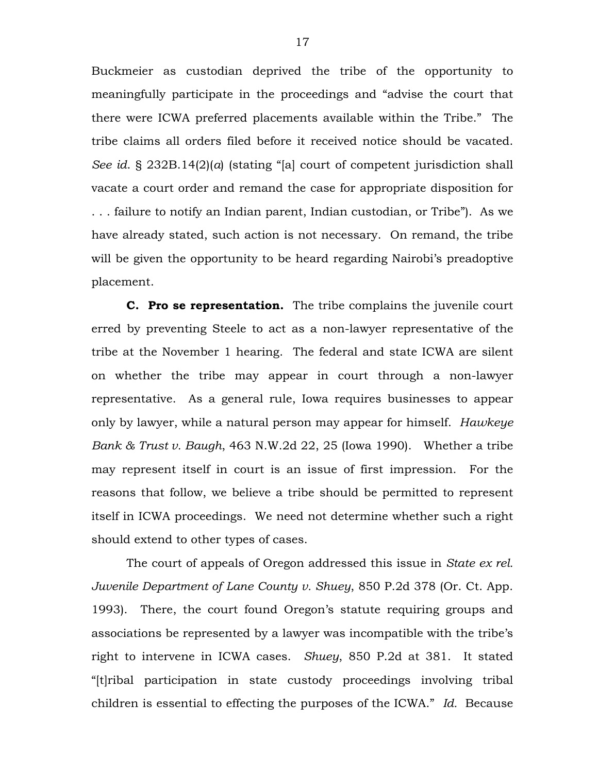Buckmeier as custodian deprived the tribe of the opportunity to meaningfully participate in the proceedings and "advise the court that there were ICWA preferred placements available within the Tribe." The tribe claims all orders filed before it received notice should be vacated. *See id*. § 232B.14(2)(*a*) (stating "[a] court of competent jurisdiction shall vacate a court order and remand the case for appropriate disposition for . . . failure to notify an Indian parent, Indian custodian, or Tribe"). As we have already stated, such action is not necessary. On remand, the tribe will be given the opportunity to be heard regarding Nairobi's preadoptive placement.

**C. Pro se representation.** The tribe complains the juvenile court erred by preventing Steele to act as a non-lawyer representative of the tribe at the November 1 hearing. The federal and state ICWA are silent on whether the tribe may appear in court through a non-lawyer representative. As a general rule, Iowa requires businesses to appear only by lawyer, while a natural person may appear for himself. *Hawkeye Bank & Trust v. Baugh*, 463 N.W.2d 22, 25 (Iowa 1990). Whether a tribe may represent itself in court is an issue of first impression. For the reasons that follow, we believe a tribe should be permitted to represent itself in ICWA proceedings. We need not determine whether such a right should extend to other types of cases.

The court of appeals of Oregon addressed this issue in *State ex rel. Juvenile Department of Lane County v. Shuey*, 850 P.2d 378 (Or. Ct. App. 1993). There, the court found Oregon's statute requiring groups and associations be represented by a lawyer was incompatible with the tribe's right to intervene in ICWA cases. *Shuey*, 850 P.2d at 381. It stated "[t]ribal participation in state custody proceedings involving tribal children is essential to effecting the purposes of the ICWA." *Id.* Because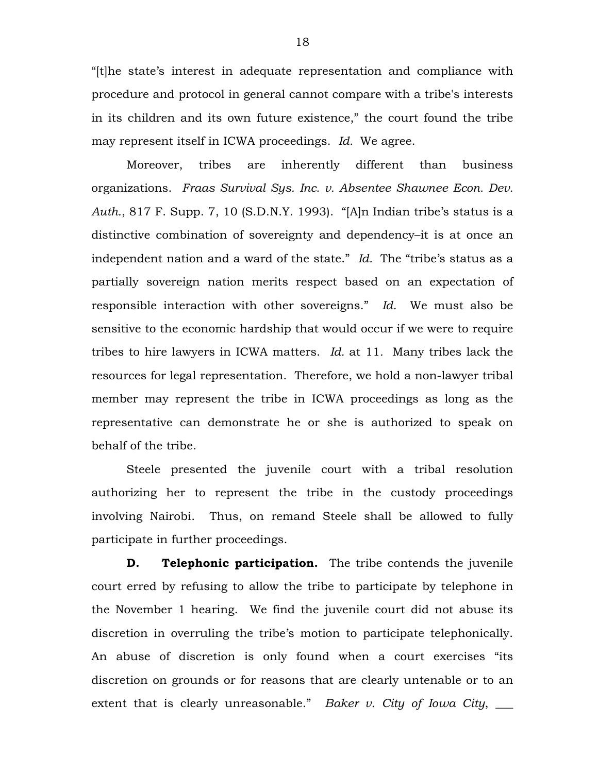"[t]he state's interest in adequate representation and compliance with procedure and protocol in general cannot compare with a tribe's interests in its children and its own future existence," the court found the tribe may represent itself in ICWA proceedings. *Id.* We agree.

Moreover, tribes are inherently different than business organizations. *Fraas Survival Sys. Inc. v. Absentee Shawnee Econ. Dev. Auth.*, 817 F. Supp. 7, 10 (S.D.N.Y. 1993). "[A]n Indian tribe's status is a distinctive combination of sovereignty and dependency–it is at once an independent nation and a ward of the state." *Id.* The "tribe's status as a partially sovereign nation merits respect based on an expectation of responsible interaction with other sovereigns." *Id.* We must also be sensitive to the economic hardship that would occur if we were to require tribes to hire lawyers in ICWA matters. *Id.* at 11*.* Many tribes lack the resources for legal representation. Therefore, we hold a non-lawyer tribal member may represent the tribe in ICWA proceedings as long as the representative can demonstrate he or she is authorized to speak on behalf of the tribe.

Steele presented the juvenile court with a tribal resolution authorizing her to represent the tribe in the custody proceedings involving Nairobi. Thus, on remand Steele shall be allowed to fully participate in further proceedings.

**D.** Telephonic participation. The tribe contends the juvenile court erred by refusing to allow the tribe to participate by telephone in the November 1 hearing. We find the juvenile court did not abuse its discretion in overruling the tribe's motion to participate telephonically. An abuse of discretion is only found when a court exercises "its discretion on grounds or for reasons that are clearly untenable or to an extent that is clearly unreasonable." *Baker v. City of Iowa City*,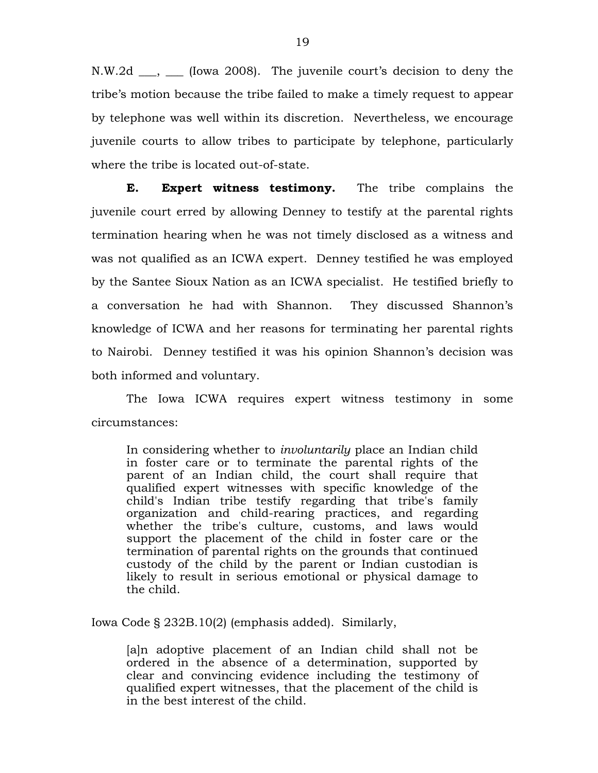N.W.2d \_\_\_, \_\_\_ (Iowa 2008).The juvenile court's decision to deny the tribe's motion because the tribe failed to make a timely request to appear by telephone was well within its discretion. Nevertheless, we encourage juvenile courts to allow tribes to participate by telephone, particularly where the tribe is located out-of-state.

**E. Expert witness testimony.** The tribe complains the juvenile court erred by allowing Denney to testify at the parental rights termination hearing when he was not timely disclosed as a witness and was not qualified as an ICWA expert. Denney testified he was employed by the Santee Sioux Nation as an ICWA specialist. He testified briefly to a conversation he had with Shannon. They discussed Shannon's knowledge of ICWA and her reasons for terminating her parental rights to Nairobi. Denney testified it was his opinion Shannon's decision was both informed and voluntary.

The Iowa ICWA requires expert witness testimony in some circumstances:

In considering whether to *involuntarily* place an Indian child in foster care or to terminate the parental rights of the parent of an Indian child, the court shall require that qualified expert witnesses with specific knowledge of the child's Indian tribe testify regarding that tribe's family organization and child-rearing practices, and regarding whether the tribe's culture, customs, and laws would support the placement of the child in foster care or the termination of parental rights on the grounds that continued custody of the child by the parent or Indian custodian is likely to result in serious emotional or physical damage to the child.

Iowa Code § 232B.10(2) (emphasis added). Similarly,

[a]n adoptive placement of an Indian child shall not be ordered in the absence of a determination, supported by clear and convincing evidence including the testimony of qualified expert witnesses, that the placement of the child is in the best interest of the child.